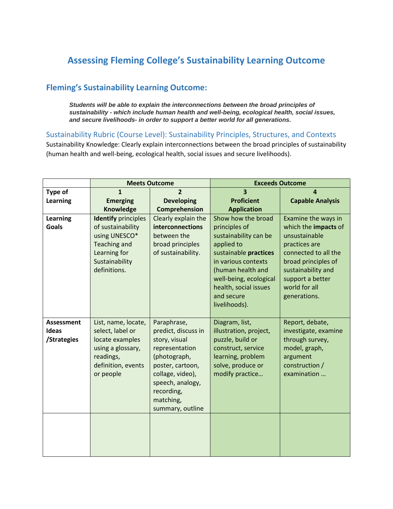## **Assessing Fleming College's Sustainability Learning Outcome**

## **Fleming's Sustainability Learning Outcome:**

*Students will be able to explain the interconnections between the broad principles of sustainability - which include human health and well-being, ecological health, social issues, and secure livelihoods- in order to support a better world for all generations.*

Sustainability Rubric (Course Level): Sustainability Principles, Structures, and Contexts

Sustainability Knowledge: Clearly explain interconnections between the broad principles of sustainability (human health and well-being, ecological health, social issues and secure livelihoods).

|                                                  | <b>Meets Outcome</b>                                                                                                                      |                                                                                                                                                                                                  | <b>Exceeds Outcome</b>                                                                                                                                                                                                            |                                                                                                                                                                                                         |
|--------------------------------------------------|-------------------------------------------------------------------------------------------------------------------------------------------|--------------------------------------------------------------------------------------------------------------------------------------------------------------------------------------------------|-----------------------------------------------------------------------------------------------------------------------------------------------------------------------------------------------------------------------------------|---------------------------------------------------------------------------------------------------------------------------------------------------------------------------------------------------------|
| Type of                                          | $\mathbf{1}$                                                                                                                              | $\overline{2}$                                                                                                                                                                                   | $\overline{\mathbf{3}}$                                                                                                                                                                                                           | $\boldsymbol{a}$                                                                                                                                                                                        |
| <b>Learning</b>                                  | <b>Emerging</b>                                                                                                                           | <b>Developing</b>                                                                                                                                                                                | <b>Proficient</b>                                                                                                                                                                                                                 | <b>Capable Analysis</b>                                                                                                                                                                                 |
|                                                  | <b>Knowledge</b>                                                                                                                          | Comprehension                                                                                                                                                                                    | <b>Application</b>                                                                                                                                                                                                                |                                                                                                                                                                                                         |
| Learning<br><b>Goals</b>                         | <b>Identify</b> principles<br>of sustainability<br>using UNESCO*<br><b>Teaching and</b><br>Learning for<br>Sustainability<br>definitions. | Clearly explain the<br>interconnections<br>between the<br>broad principles<br>of sustainability.                                                                                                 | Show how the broad<br>principles of<br>sustainability can be<br>applied to<br>sustainable practices<br>in various contexts<br>(human health and<br>well-being, ecological<br>health, social issues<br>and secure<br>livelihoods). | Examine the ways in<br>which the impacts of<br>unsustainable<br>practices are<br>connected to all the<br>broad principles of<br>sustainability and<br>support a better<br>world for all<br>generations. |
| <b>Assessment</b><br><b>Ideas</b><br>/Strategies | List, name, locate,<br>select, label or<br>locate examples<br>using a glossary,<br>readings,<br>definition, events<br>or people           | Paraphrase,<br>predict, discuss in<br>story, visual<br>representation<br>(photograph,<br>poster, cartoon,<br>collage, video),<br>speech, analogy,<br>recording,<br>matching,<br>summary, outline | Diagram, list,<br>illustration, project,<br>puzzle, build or<br>construct, service<br>learning, problem<br>solve, produce or<br>modify practice                                                                                   | Report, debate,<br>investigate, examine<br>through survey,<br>model, graph,<br>argument<br>construction /<br>examination                                                                                |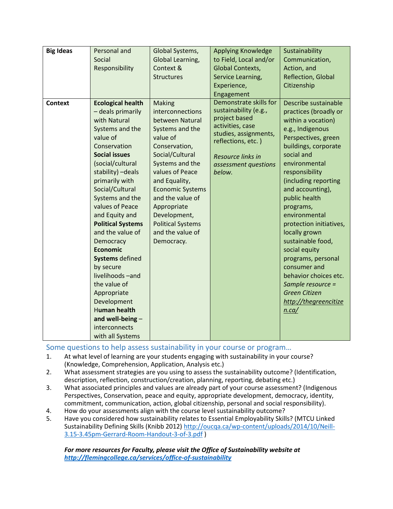| <b>Big Ideas</b> | Personal and<br>Social<br>Responsibility                                                                                                                                                                                                                                                                                                                                                                                                                                                                                        | Global Systems,<br>Global Learning,<br>Context &<br><b>Structures</b>                                                                                                                                                                                                                                                      | Applying Knowledge<br>to Field, Local and/or<br>Global Contexts,<br>Service Learning,<br>Experience,                                                                                                     | Sustainability<br>Communication,<br>Action, and<br>Reflection, Global<br>Citizenship                                                                                                                                                                                                                                                                                                                                                                                                                               |
|------------------|---------------------------------------------------------------------------------------------------------------------------------------------------------------------------------------------------------------------------------------------------------------------------------------------------------------------------------------------------------------------------------------------------------------------------------------------------------------------------------------------------------------------------------|----------------------------------------------------------------------------------------------------------------------------------------------------------------------------------------------------------------------------------------------------------------------------------------------------------------------------|----------------------------------------------------------------------------------------------------------------------------------------------------------------------------------------------------------|--------------------------------------------------------------------------------------------------------------------------------------------------------------------------------------------------------------------------------------------------------------------------------------------------------------------------------------------------------------------------------------------------------------------------------------------------------------------------------------------------------------------|
| <b>Context</b>   | <b>Ecological health</b><br>- deals primarily<br>with Natural<br>Systems and the<br>value of<br>Conservation<br><b>Social issues</b><br>(social/cultural<br>stability) - deals<br>primarily with<br>Social/Cultural<br>Systems and the<br>values of Peace<br>and Equity and<br><b>Political Systems</b><br>and the value of<br>Democracy<br><b>Economic</b><br><b>Systems</b> defined<br>by secure<br>livelihoods-and<br>the value of<br>Appropriate<br>Development<br><b>Human health</b><br>and well-being -<br>interconnects | <b>Making</b><br>interconnections<br>between Natural<br>Systems and the<br>value of<br>Conservation,<br>Social/Cultural<br>Systems and the<br>values of Peace<br>and Equality,<br><b>Economic Systems</b><br>and the value of<br>Appropriate<br>Development,<br><b>Political Systems</b><br>and the value of<br>Democracy. | Engagement<br>Demonstrate skills for<br>sustainability (e.g.,<br>project based<br>activities, case<br>studies, assignments,<br>reflections, etc.)<br>Resource links in<br>assessment questions<br>below. | Describe sustainable<br>practices (broadly or<br>within a vocation)<br>e.g., Indigenous<br>Perspectives, green<br>buildings, corporate<br>social and<br>environmental<br>responsibility<br>(including reporting<br>and accounting),<br>public health<br>programs,<br>environmental<br>protection initiatives,<br>locally grown<br>sustainable food,<br>social equity<br>programs, personal<br>consumer and<br>behavior choices etc.<br>Sample resource =<br><b>Green Citizen</b><br>http://thegreencitize<br>n.ca/ |
|                  | with all Systems                                                                                                                                                                                                                                                                                                                                                                                                                                                                                                                |                                                                                                                                                                                                                                                                                                                            |                                                                                                                                                                                                          |                                                                                                                                                                                                                                                                                                                                                                                                                                                                                                                    |

Some questions to help assess sustainability in your course or program…

- 1. At what level of learning are your students engaging with sustainability in your course? (Knowledge, Comprehension, Application, Analysis etc.)
- 2. What assessment strategies are you using to assess the sustainability outcome? (Identification, description, reflection, construction/creation, planning, reporting, debating etc.)
- 3. What associated principles and values are already part of your course assessment? (Indigenous Perspectives, Conservation, peace and equity, appropriate development, democracy, identity, commitment, communication, action, global citizenship, personal and social responsibility).
- 4. How do your assessments align with the course level sustainability outcome?
- 5. Have you considered how sustainability relates to Essential Employability Skills? (MTCU Linked Sustainability Defining Skills (Knibb 2012) [http://oucqa.ca/wp-content/uploads/2014/10/Neill-](http://oucqa.ca/wp-content/uploads/2014/10/Neill-3.15-3.45pm-Gerrard-Room-Handout-3-of-3.pdf)[3.15-3.45pm-Gerrard-Room-Handout-3-of-3.pdf](http://oucqa.ca/wp-content/uploads/2014/10/Neill-3.15-3.45pm-Gerrard-Room-Handout-3-of-3.pdf) )

*For more resources for Faculty, please visit the Office of Sustainability website at <http://flemingcollege.ca/services/office-of-sustainability>*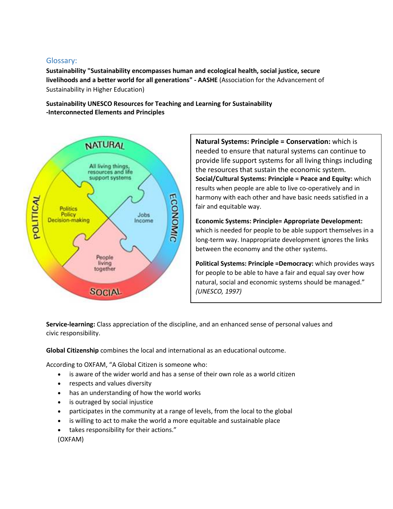## Glossary:

**Sustainability "Sustainability encompasses human and ecological health, social justice, secure livelihoods and a better world for all generations" - AASHE** (Association for the Advancement of Sustainability in Higher Education)

**Sustainability UNESCO Resources for Teaching and Learning for Sustainability -Interconnected Elements and Principles** 



**Natural Systems: Principle = Conservation:** which is needed to ensure that natural systems can continue to provide life support systems for all living things including the resources that sustain the economic system. **Social/Cultural Systems: Principle = Peace and Equity:** which results when people are able to live co-operatively and in harmony with each other and have basic needs satisfied in a fair and equitable way.

**Economic Systems: Principle= Appropriate Development:**  which is needed for people to be able support themselves in a long-term way. Inappropriate development ignores the links between the economy and the other systems.

**Political Systems: Principle =Democracy:** which provides ways for people to be able to have a fair and equal say over how natural, social and economic systems should be managed." *(UNESCO, 1997)*

**Service-learning:** Class appreciation of the discipline, and an enhanced sense of personal values and civic responsibility.

**Global Citizenship** combines the local and international as an educational outcome.

According to OXFAM, "A Global Citizen is someone who:

- is aware of the wider world and has a sense of their own role as a world citizen
- respects and values diversity
- has an understanding of how the world works
- is outraged by social injustice
- participates in the community at a range of levels, from the local to the global
- is willing to act to make the world a more equitable and sustainable place
- takes responsibility for their actions."

(OXFAM)